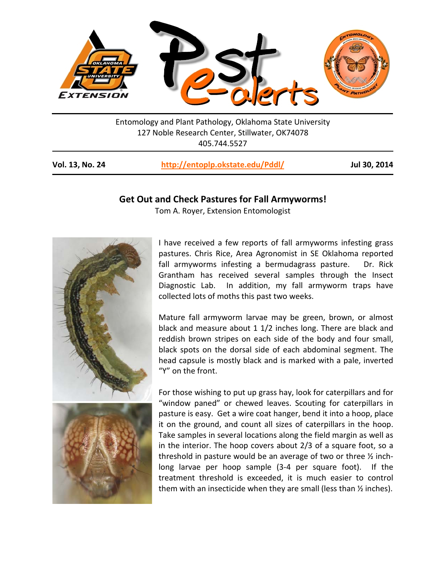

Entomology and Plant Pathology, Oklahoma State University 127 Noble Research Center, Stillwater, OK74078 405.744.5527

| Vol. 13, No. 24 | http://entoplp.okstate.edu/Pddl/ | Jul 30, 2014 |
|-----------------|----------------------------------|--------------|
|-----------------|----------------------------------|--------------|

## **Get Out and Check Pastures for Fall Armyworms!**

Tom A. Royer, Extension Entomologist



I have received a few reports of fall armyworms infesting grass pastures. Chris Rice, Area Agronomist in SE Oklahoma reported fall armyworms infesting a bermudagrass pasture. Dr. Rick Grantham has received several samples through the Insect Diagnostic Lab. In addition, my fall armyworm traps have collected lots of moths this past two weeks.

Mature fall armyworm larvae may be green, brown, or almost black and measure about 1 1/2 inches long. There are black and reddish brown stripes on each side of the body and four small, black spots on the dorsal side of each abdominal segment. The head capsule is mostly black and is marked with a pale, inverted "Y" on the front.

For those wishing to put up grass hay, look for caterpillars and for "window paned" or chewed leaves. Scouting for caterpillars in pasture is easy. Get a wire coat hanger, bend it into a hoop, place it on the ground, and count all sizes of caterpillars in the hoop. Take samples in several locations along the field margin as well as in the interior. The hoop covers about 2/3 of a square foot, so a threshold in pasture would be an average of two or three ½ inchlong larvae per hoop sample (3-4 per square foot). If the treatment threshold is exceeded, it is much easier to control them with an insecticide when they are small (less than ½ inches).